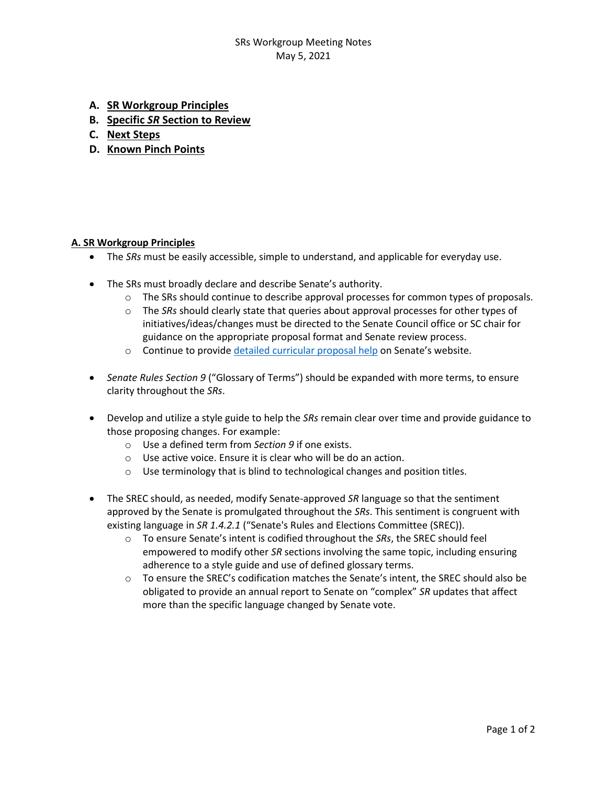## SRs Workgroup Meeting Notes May 5, 2021

- **A. SR Workgroup Principles**
- **B. Specific** *SR* **Section to Review**
- **C. Next Steps**
- **D. Known Pinch Points**

### **A. SR Workgroup Principles**

- The *SRs* must be easily accessible, simple to understand, and applicable for everyday use.
- The SRs must broadly declare and describe Senate's authority.
	- $\circ$  The SRs should continue to describe approval processes for common types of proposals.
	- o The *SRs* should clearly state that queries about approval processes for other types of initiatives/ideas/changes must be directed to the Senate Council office or SC chair for guidance on the appropriate proposal format and Senate review process.
	- $\circ$  Continue to provide [detailed curricular proposal help](https://www.uky.edu/universitysenate/senate-proposals) on Senate's website.
- *Senate Rules Section 9* ("Glossary of Terms") should be expanded with more terms, to ensure clarity throughout the *SRs*.
- Develop and utilize a style guide to help the *SRs* remain clear over time and provide guidance to those proposing changes. For example:
	- o Use a defined term from *Section 9* if one exists.
	- o Use active voice. Ensure it is clear who will be do an action.
	- o Use terminology that is blind to technological changes and position titles.
- The SREC should, as needed, modify Senate-approved *SR* language so that the sentiment approved by the Senate is promulgated throughout the *SRs*. This sentiment is congruent with existing language in *SR 1.4.2.1* ("Senate's Rules and Elections Committee (SREC)).
	- o To ensure Senate's intent is codified throughout the *SRs*, the SREC should feel empowered to modify other *SR* sections involving the same topic, including ensuring adherence to a style guide and use of defined glossary terms.
	- $\circ$  To ensure the SREC's codification matches the Senate's intent, the SREC should also be obligated to provide an annual report to Senate on "complex" *SR* updates that affect more than the specific language changed by Senate vote.